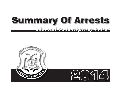# **Summary Of Arrests** *Missouri State Highway Patrol*

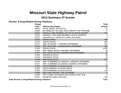# **Missouri State Highway Patrol**

# **2014 Summary Of Arrests**

#### **Alcohol- & Drug-Related Driving Violations**

| Charge                                                      |                                           | <b>Total</b>    |
|-------------------------------------------------------------|-------------------------------------------|-----------------|
| Code                                                        | <b>Offense Description</b>                | <b>Arrests</b>  |
| 10053                                                       | <b>INVOL MANSL VEH INTOX</b>              | 15 <sub>1</sub> |
| 10056                                                       | INV MNSLTR-1ST DEG-INTX-DEATH-1ST OFFENSE | 3               |
| 13033                                                       | ASSAULT 2ND DEGREE-OP VEH W INTOX-INJURY  | 272             |
| 13133                                                       | ASSAULT-VEH-2ND DEGREE-L/E, ETC W/INTOX   | 2               |
| 47072                                                       | UNLAWFULLY OPER ATV U/INFL ALCOHOL        | 2               |
| 47410                                                       | <b>DWI/ALCOHOL</b>                        | 488             |
| 47415                                                       | <b>DWI/ALCOHOL</b>                        | 634             |
| 47417                                                       | DWI-ALCOHOL - CHRONIC OFFENDER            | 207             |
| 47418                                                       | DWI-ALCOHOL-AGGRAVATED OFFENDER           | 188             |
| 47420                                                       | <b>DWI/ALCOHOL</b>                        | 4,662           |
| 47423                                                       | DWI-DRUG INTOX-CHRONIC OFFENDER           | 19              |
| 47427                                                       | DWI-DRUG INTOXI-AGGREVATED OFFENDER       | 22              |
| 47430                                                       | <b>DWI/DRUG INTOX</b>                     | 45              |
| 47435                                                       | <b>DWI/DRUG INTOX</b>                     | 43              |
| 47440                                                       | <b>DWI/DRUG INTOX</b>                     | 612             |
| 47443                                                       | DWI-COMBINED ALC/DRUGS-CHRONIC OFFENDER   | 8               |
| 47447                                                       | DWI-COMBINED ALC/DRUG-AGGREV OFFENDER     | 11              |
| 47450                                                       | <b>DWI/COMBINED ALCOHOL/DRUG</b>          | 18              |
| 47455                                                       | DWI/COMBINED ALCOHOL/DRUG                 | 16              |
| 47460                                                       | <b>DWI/COMBINED ALCOHOL/DRUG</b>          | 148             |
| 47490                                                       | DRV COM VEH BAC .04% OR MORE              | $\,6\,$         |
| 47495                                                       | DRV COMM VEH/UNDER INFLUENCE CONT SUB     | $\overline{2}$  |
| 47497                                                       | DRINKING WHILE DRIVING                    | 104             |
| <b>Total Alcohol- &amp; Drug-Related Driving Violations</b> |                                           | 7,527           |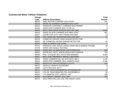#### **Commercial Motor Vehicle Violations**

| <b>Charge</b> |                                                | <b>Total</b>   |
|---------------|------------------------------------------------|----------------|
| Code          | <b>Offense Description</b>                     | <b>Arrests</b> |
| 46040         | <b>MISC MOTOR CARRIER VIOLATION</b>            | 241            |
| 46113         | OPER AS COMMON CARRIER W/O CERT                | 3              |
| 46122         | OPERATE CONTRACT CARRIER W/O PERMIT            |                |
| 46166         | OPER MTR CARRIER W/O 72 HR LIC                 | 3              |
| 46243         | MTR CARR DRVR EXCEED MAX DR TIME               | 3,591          |
| 46244         | OPER AS MTR CARRIER W/O MED CERT               | 451            |
| 46257         | CIGRET W/I 25 FT VEH TRANS HAZ MAT             | 12             |
| 46263         | FAIL MARK MV TRANSPORTING HAZ MAT              | 17             |
| 46319         | COMM MV DRIVER USED RADAR DETECTOR             | $\overline{7}$ |
| 46320         | OP COMM MV HAVING RADAR DETECTOR               | 41             |
| 46373         | <b>DISP ALTERED CAB CARD</b>                   | $\overline{1}$ |
| 47371         | OPERATE CMV WHILE USING HAND-HELD MOBILE PHONE | 46             |
| 47379         | <b>OPER CMV WHILE TEXTING</b>                  | 1              |
| 48404         | OPER MCV W IMPROPER LIGHTS/REFLEC              | 502            |
| 48405         | OPER MCV WITH VISION REDUCING DAMAGE           | 752            |
| 48406         | <b>FAIL TO EQUIP MCV WITH REQ BRAKES</b>       | 4,252          |
| 48407         | MCV-FAIL PROPERLY INSTALL BATTERY              | $\overline{4}$ |
| 48503         | OPER COMMERCIAL MV W/O SEAT BELT               | 1,241          |
| 48504         | OPER MTR CARRIER VEH-UNSAFE AXLE               | 2,394          |
| 49061         | WIDTH OF VEH EXCEEDED 8 1/2 FT                 | 110            |
| 49075         | <b>VEHICLE HEIGHT EXCEEDED</b>                 | 6              |
| 49080         | <b>LGTH VEH EXC 45 FT</b>                      |                |
| 49111         | LTH OF TRACTOR/SEMITRL EXCEEDED 60             | $\overline{2}$ |
| 49121         | LTH OF TRAC/SEMITRL/TRL EXCEEDED 6             | 30             |
| 49150         | LTH SEMITRL EXC LAWFUL LMT                     | 165            |
| 49153         | <b>AUTO/BOAT TRNSPT EXC LMT</b>                | 107            |
| 49172         | <b>VIOL PROV RE LOC LOG TRK WGHT LMTS</b>      | 3              |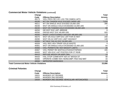#### **Commercial Motor Vehicle Violations (continued)**

| Charge                                           |                                          | <b>Total</b>   |
|--------------------------------------------------|------------------------------------------|----------------|
| Code                                             | <b>Offense Description</b>               | <b>Arrests</b> |
| 49173                                            | VIOL PROV RE LOC LOG TRK DIMEN LMTS      | 8              |
| 49195                                            | WT ON TANDEM AXLE EXCEED 34000 LBS       | 7,616          |
| 49211                                            | WT ON SINGLE AXLE EXCEED 20,000 LBS      | 396            |
| 49230                                            | WGT ON SINGLE AXLE EXCEEDED 22,000 LBS   |                |
| 49240                                            | WGT ON TANDEM AXLE EXCEEDED 36,000 LBS   | 69             |
| 49250                                            | <b>GR WGT EXC LMT-BRIDGE</b>             | 8              |
| 49260                                            | GROSS WGT EXC 80,000 LBS                 | 920            |
| 49265                                            | WGHT LIVESTCK/MILK HAULER >85,500 LBS    | $\overline{2}$ |
| 49270                                            | WGT ON AXLE GRP EXC LMT FOR IS HWY       | 240            |
| 49280                                            | WGT ON AX GRP EXC LIMIT HIGHWAT          | 128            |
| 49300                                            | WT BUS TAN AX EXC 34,000 LBS             | $\mathbf{3}$   |
| 49326                                            | <b>VIOL REG VEH TRNSP SOLID WASTE</b>    | $\overline{4}$ |
| 49361                                            | WGT ON SINGLE AXLE EXCEEDED 22,400 LBS   | 64             |
| 49366                                            | <b>VIOL PERMITS RE VEH WEIGHT LIMITS</b> | 25             |
| 49367                                            | VIOL PERMT RE WIDTH/LGTH/HGHT/SPEED      | 155            |
| 49400                                            | WGT VEH EXC LMT POSTED FOR CT RD/B       | 8              |
| 49410                                            | <b>REFUSE WEIGH OR INSP CMV</b>          | 13             |
| 49420                                            | FAIL STOP COMM MTR VEH AT WEIGH ST       | 98             |
| 49485                                            | OPERATE COMM VEH-NONCOMP-FED HAZ MAT     | 44             |
| 49550                                            | <b>IMPROPER MARKINGS</b>                 | 14             |
| <b>Total Commercial Motor Vehicle Violations</b> |                                          | 23,806         |

#### **Criminal Felonies**

| Charge |                                         | Total          |
|--------|-----------------------------------------|----------------|
| Code   | <b>Offense Description</b>              | <b>Arrests</b> |
| 10021  | <b>MURDER 1ST DEGREE</b>                |                |
| 10031  | MURDER 2ND DEGREE                       | $\mathcal{P}$  |
| 10034  | MURDER 2ND DEGREE VEHICULAR-INTOXICATED | 4              |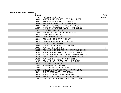| Charge |                                           | <b>Total</b>    |
|--------|-------------------------------------------|-----------------|
| Code   | <b>Offense Description</b>                | <b>Arrests</b>  |
| 10036  | MURDER 2ND DEGREE - FELONY MURDER         | 2               |
| 10051  | <b>INVOL MANSLATER-1ST DEGREE</b>         | 5               |
| 10052  | <b>INVOLUNT MANSLGTR-2ND DEGREE</b>       | $\mathfrak{S}$  |
| 10075  | INVOL MANSLAUGHTER-VESSEL-INTOXICATED     | 1               |
| 11007  | RAPE OR ATTEMPTED RAPE - 1ST DEGREE       | 1               |
| 11072  | SODOMY - 2ND DEGREE                       | $\mathbf{1}$    |
| 11095  | STATUTORY SODOMY - 1ST DEGREE             | $\overline{2}$  |
| 12010  | ROBBERY 1ST DEGREE                        | $\overline{2}$  |
| 12020  | ROBBERY 2ND DEGREE                        | $\frac{3}{8}$   |
| 13011  | <b>ASSAULT 1ST-SER PHY INJURY</b>         |                 |
| 13015  | DOMESTIC ASSAULT 1ST DEGREE               | $\mathbf{1}$    |
| 13020  | <b>ASSAULT 1ST DEGREE</b>                 | $\mathfrak{S}$  |
| 13029  | DOMESTIC ASSAULT-2ND DEGREE               | $6\phantom{1}6$ |
| 13031  | <b>ASSAULT 2ND DEGREE</b>                 | 21              |
| 13036  | ASSAULT-2ND DEGREE-INJ-OPER EMERG VEH     | $\sqrt{6}$      |
| 13100  | ASSAULT/ATMPT ON L/E, ETC.-1ST DEGREE     | 10              |
| 13103  | ASSAULT/ATMP-L/E, ETC. 2 DEGREE-WEP/INSTR | $\mathfrak{S}$  |
| 13113  | ASSAULT/ATMPT-L/E, ETC.2ND-NO WEP/INJ     | $\frac{3}{3}$   |
| 13143  | ASSAULT 2ND-L/E, ETC-APPRHEN INJ          |                 |
| 13147  | ASSAULT 2ND-L/E, ETC-CRIM NEG-RISK        | $\overline{2}$  |
| 14010  | <b>BURGLARY 1ST DEGREE</b>                | $\overline{2}$  |
| 14020  | <b>BURGLARY 2ND DEGREE</b>                | 29              |
| 14030  | POSSESSION BURGLAR TOOLS                  | 6               |
| 15020  | STEALING OF A MOTOR VEH-1ST OFFENSE       | 15              |
| 15021  | THEFT-\$500/MORE-LESS \$25,000            | 25              |
| 15023  | THEFT, STEALING OF ANY FIREARM            | $\overline{7}$  |
| 15025  | THEFT/STEAL CREDIT CARD OR LETTER         | $\frac{2}{2}$   |
| 15036  | STEALING RELATED OFFENSE-3RD OFFENSE      |                 |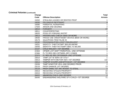| Charge |                                                  | <b>Total</b>   |
|--------|--------------------------------------------------|----------------|
| Code   | <b>Offense Description</b>                       | <b>Arrests</b> |
| 15202  | STEALING LEASED OR RENTED PROP                   |                |
| 16030  | <b>FELONIOUS RESTRAINT</b>                       | $9\,$          |
| 16080  | PARENTAL KIDNAPPING                              | $\mathbf 1$    |
| 17020  | <b>ARSON 2ND DEGREE</b>                          | $\overline{2}$ |
| 18010  | <b>FORGERY</b>                                   | 47             |
| 18011  | <b>COUNTERFEITING</b>                            | 1.             |
| 18020  | <b>POSS OF FORGING INSTRT</b>                    | 4              |
| 19013  | PASSING BAD CHECK-\$500 OR MORE                  | $\overline{c}$ |
| 19030  | FRAUD USE CREDIT/DEBIT DEVICE (\$500 OR MORE)    | $\mathbf{1}$   |
| 19173  | SALE/POSS ITEM FALSE ID                          | $\frac{2}{2}$  |
| 19192  | PROD/MANUF/SELL/DIST FRAUDULENT                  |                |
| 19251  | <b>IDENTITY THEFT/ATMPT \$50,001/MORE</b>        | 1              |
| 19255  | <b>IDENTITY THEFT/ATTEMPT \$501 TO \$5,000</b>   | 1              |
| 22107  | <b>CHILD MOLEST-1ST DEGREE</b>                   | $\overline{c}$ |
| 22363  | OFNDR LOIT 500FT PARK/POOL-2ND OFFENSE           | 1              |
| 22366  | FL TO REG SEX OFFNDR-SPC CONDS                   | 1              |
| 22370  | FL REG AS SEX OFFENDER-2ND OFFENSE               | $\mathbf{1}$   |
| 23010  | TAMP 1ST W SERV OF UTILY                         | $\mathbf 1$    |
| 23013  | <b>TAMPER WITH MOTOR VEH-1ST DEGREE</b>          | 132            |
| 23014  | TAMPER W/AIRPLANE/MTR BOAT-1ST DEGREE            | $\overline{4}$ |
| 23039  | TAMP W/MOTOR VEH-2ND DEGREE PRIOR                | $\overline{2}$ |
| 23110  | <b>PROP DAMAGE 1ST DEGREE</b>                    | 13             |
| 23116  | PROP DAMG 1ST-MV INTENT TO STEAL                 | $\overline{2}$ |
| 24013  | RECEIVING STOLEN PROPERTY                        | 10             |
| 24015  | RECEIVING STOLEN PROPERTY                        | 53             |
| 26022  | ABANDON CHILD-2ND DEGREE                         | $\overline{2}$ |
| 26045  | <b>ENDANGERING WELFARE OF A CHILD-1ST DEGREE</b> | 71             |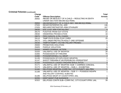| <b>Charge</b><br>Code | <b>Offense Description</b>                                                           | <b>Total</b><br><b>Arrests</b> |
|-----------------------|--------------------------------------------------------------------------------------|--------------------------------|
| 26062                 | ABUSE OR NEGLECT OF A CHILD - RESULTING IN DEATH<br>UNDER SECTION 568.060.5(2) RSMo. |                                |
| 26064                 | ABUSE/NEGLECT OF A CHILD-SEC. 568.060.5(1) RSMo.                                     | $\mathbf{1}$                   |
| 27020                 | <b>RESIST/INTERFER FEL ARR</b>                                                       | 136                            |
| 27025                 | RES ARST/DETN/STOP-RSK DTH/INJRY                                                     | 107                            |
| 28030                 | <b>ESC CUST ARR FOR FELONY</b>                                                       | $\overline{5}$                 |
| 28170                 | <b>FUGITIVE FROM OUT STATE</b>                                                       | 21                             |
| 29030                 | <b>HINDERING PROSECUTION</b>                                                         | 16                             |
| 29075                 | PERJ N/INVOL A FEL CHARG                                                             | $\overline{1}$                 |
| 29110                 | <b>TAMP PHYS EVDN-FLNY CHRG</b>                                                      | 25                             |
| 29173                 | VIOL ORDR PROTECTN ADULT-2ND OFFENSE                                                 | 1                              |
| 29230                 | TAMP/ATTEMPT-VICTIM-FELONY PROSEC                                                    | 1                              |
| 29400                 | PROBATION VIOLATION                                                                  | $\sqrt{5}$                     |
| 29405                 | <b>PAROLE VIOLATION</b>                                                              | $\,6\,$                        |
| 31010                 | <b>ARMED CRIMINAL ACTION</b>                                                         | 26                             |
| 31020                 | UNLAWFUL USE OF WEAPON                                                               | 26                             |
| 31065                 | POSSESSION OF FIREARM                                                                | 70                             |
| 31080                 | POSS/MFGR/SELL ILL WEAP                                                              | $\overline{7}$                 |
| 31135                 | POSSESSION OF EXPLOSIVE WEAPON                                                       | $\mathbf{1}$                   |
| 31147                 | SHOOT FIREARM AT MV/PERS/BLDG-PERSISTENT                                             | 1                              |
| 31163                 | POSS/DISCH LOADED FIREARM WHILE INTOX                                                | $\frac{2}{6}$                  |
| 31171                 | UNLAWFUL USE OF WEAPON-SUB 1-CARRIES CONCEAL                                         |                                |
| 31174                 | UNLAWFUL USE OF WEAPON - SUB 4 - EXHIBITING                                          | 5                              |
| 31182                 | DEL/POSS WEAPON-CORR FAC, CITY/COUNTY JAIL, PRIV                                     | $\overline{1}$                 |
| 31188                 | UNLAWFUL USE OF WEAPON - SUB 11 - POSSESS WEAPN                                      | $\mathbf{1}$                   |
|                       | AND FELONY CONTROL SUBSTNC                                                           |                                |
| 31195                 | DEL/POSS WEAP AT COUNTY/PRIV JAIL                                                    | 1                              |
| 32255                 | <b>KEEP MAINT PUB NUISANCE</b>                                                       | 8                              |
| 32322                 | DEL/POSS CONTR SUB-CORR FAC, CITY/COUNTY/PRIV JAIL                                   | 39                             |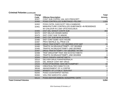|                                | Charge<br>Code<br>32327 | <b>Offense Description</b><br>CONT SUB CO/PRIV JAIL W/O PRESCRPT                                                         | <b>Total</b><br><b>Arrests</b><br>6 |
|--------------------------------|-------------------------|--------------------------------------------------------------------------------------------------------------------------|-------------------------------------|
|                                | 32450                   | POSS CONTROLLED SUBSTANCE-FELONY                                                                                         | 1,829                               |
|                                | 32452<br>32461          | POSS CNTRL SUB EXCPT 35G>CANBNOID<br>MANUFACTURE CONTROLLED SUBSTANCE-IN RESIDENCE<br>W/ CHILD/OR IN 2,000' OFSCHOOL/BUS | 24<br>3                             |
|                                | 32465                   | <b>DIST DEL MANUF CONTR SUB</b>                                                                                          | 359                                 |
|                                | 32470<br>32475          | DIST DEL/U/5 GRAMS MARIJ<br><b>DIST CONT SUB TO MINOR</b>                                                                |                                     |
|                                | 32485                   | DIST CNT SUB NEAR SCHOOL                                                                                                 | $\mathbf{1}$                        |
|                                | 32486<br>32487          | <b>DIST CONT SUBS-GOV HOUSE</b><br><b>PROV MATRLS-ILL PROD C/S</b>                                                       | 6<br>$\mathbf{1}$                   |
|                                | 32488                   | DRUG TRAF/ATMPT-1ST DEGREE>STAT AMT                                                                                      | 23                                  |
|                                | 32490                   | TRAFFIC IN DRUGS/ATTEMPT-1ST DEGREE                                                                                      | 8                                   |
|                                | 32495                   | TRAFFIC IN DRUG/ATTEMPT-2ND DEGREE                                                                                       | 14                                  |
|                                | 32497                   | DRUG TRAF/ATTEMPT-1ST DEGREE-W/I MV                                                                                      | 16                                  |
|                                | 32498                   | TRAF DRG/ATMP TRAF 2ND ECSTACY/METH                                                                                      | 1                                   |
|                                | 32500                   | <b>TRAFFIC IN DRUG/ATTEMPT-2ND DEGREE</b>                                                                                | $\bf 8$                             |
|                                | 32506                   | <b>DRUG PARAPH AMPHET/METH</b>                                                                                           | 223                                 |
|                                | 32510                   | DELIVER DRUG PARAPHERNALIA                                                                                               | 3                                   |
|                                | 32520                   | DEL MANUF CONT IMIT DRUG                                                                                                 | 4                                   |
|                                | 32526<br>32566          | POSS EPHEDRINE-MAN METH/AMPHET<br><b>CREATE/ALTER CHEM TO C/S</b>                                                        | 33<br>10                            |
|                                | 36048                   | ABANDONMENT OF A CORPSE                                                                                                  | 1                                   |
|                                | 51050                   | BRIBERY OF A PUBLIC SERVANT                                                                                              | $\overline{c}$                      |
|                                | 55255                   | POSS COUNTERFEIT NOTES                                                                                                   | $\mathbf{1}$                        |
|                                | 55350                   | <b>VIOL FED NARCOTIC LAWS</b>                                                                                            | $\overline{2}$                      |
|                                | 59124                   | POSS ANHYDR AMMON-NONAPPRV CNTR                                                                                          | $\overline{4}$                      |
| <b>Total Criminal Felonies</b> |                         |                                                                                                                          | 3,654                               |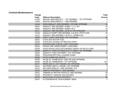#### **Criminal Misdemeanors**

| <b>Charge</b><br>Code<br>11053 | <b>Offense Description</b><br>SEXUAL MISCONDUCT - 1ST DEGREE - 1ST OFFENSE | <b>Total</b><br><b>Arrests</b> |
|--------------------------------|----------------------------------------------------------------------------|--------------------------------|
| 11055                          | SEXUAL MISCONDUCT - 2ND DEGREE                                             |                                |
| 13019                          | DOM ASSAULT-3RD DEGREE-1ST/2ND OFFENSE                                     | 21                             |
| 13041                          | ASSAULT 3RD DEGREE-SUBD 1, 2, 4, & 6                                       | 24                             |
| 13051                          | ASSAULT 3RD DEGREE-SUBD 3 & 5                                              | 12                             |
| 13117                          | ASSAULT 3RD DEGREE-L/E, ETC-PHYS INJURY                                    | $\overline{7}$                 |
| 13126                          | ASSAULT/ATMPT 3RD DEGREE-L/E, ETC-PHYS CON                                 | 32                             |
| 13131                          | ASSAULT 3RD DEGREE-L/E.ETC.-APREH INJ                                      | 5                              |
| 15000                          | THEFT LESS THAN \$500-1ST OFFENSE                                          | 34                             |
| 15001                          | <b>STEALING MOTOR FUEL</b>                                                 | 6                              |
| 15204                          | STEALING LEASED OR RENTED PROP                                             |                                |
| 19023                          | PASSING BAD CHECK-LESS THAN \$500                                          | $\mathbf{1}$                   |
| 19044                          | FRAUD USE CREDIT/DEBIT-LESS \$500                                          | 1                              |
| 19193                          | POSS FRAUD DOC/COPY/MOBILE IMAGE AS INS ID CARD                            | 7                              |
| 19260                          | IDENTITY THEFT/ATTEMPT(UP TO \$500)-1ST OFFENSE                            | $\overline{4}$                 |
| 19262                          | <b>IDENTITY THEFT/ATTEMPT-1ST OFFENSE</b>                                  | 39                             |
| 19505                          | FRAUD/DECEPTION-LICENSE EXAM                                               |                                |
| 20080                          | <b>POSS GAMBLING DEVICE</b>                                                |                                |
| 20085                          | FALSE ID-GAMB BOAT-2ND OR SUB OFFENSE                                      |                                |
| 20090                          | FALSE ID-GAMB BOAT-1ST OFFENSE                                             | 157                            |
| 20227                          | PERS UND 21-ATT WAGR-1ST OFFENSE                                           | 10                             |
| 20231                          | AID PERS UND 21-WAGR-1ST OFFENSE                                           | $\mathfrak{S}$                 |
| 22012                          | SEX MISCONDUCT-2ND DEGREE-P/O                                              | $\overline{2}$                 |
| 23032                          | TAMP W/ PROPERTY-2ND DEGREE                                                | $\overline{3}$                 |
| 23041                          | TAMPER W/ MOTOR VEHICLE-2ND DEGREE                                         | 26                             |
| 23136                          | PROPERTY DAMAGE 2ND DEGREE                                                 | 25                             |
| 24026                          | <b>RECEIVING STOLEN PROPERTY</b>                                           | 56                             |
| 24047                          | ALTER/REMOVE ITEM NUMBER <\$500                                            | $\mathbf 1$                    |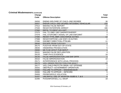#### **Criminal Misdemeanors (continued)**

| <b>Charge</b><br>Code | <b>Offense Description</b>                        | <b>Total</b><br><b>Arrests</b> |
|-----------------------|---------------------------------------------------|--------------------------------|
| 26050                 | <b>ENDNG WELFARE OF CHILD-2ND DEGREE</b>          | 38                             |
| 26057                 | <b>ENDGR CHILD-2ND DEGREE INTOX/BAC VEHICULAR</b> | 232                            |
| 27012                 | <b>MAKING FALSE REPORT</b>                        | 23                             |
| 27040                 | <b>RESIST/INTERFERE ARREST</b>                    | 166                            |
| 27060                 | <b>REFSL TO IDENT AS A WIT</b>                    | $\overline{2}$                 |
| 27075                 | <b>FAIL TO OBEY DEP SHERIFF/SHERIFF</b>           | $\overline{2}$                 |
| 27078                 | FAIL STOP/OBEY SIGNAL OF LAW ENFCMNT              | $\overline{4}$                 |
| 27080                 | <b>RESIST PTRL MBR-DISCHARGE DUTIES</b>           | 12                             |
| 27088                 | <b>RESIST/OPPOSE LAW ENFC IN DUTIES</b>           | $\mathbf 1$                    |
| 27090                 | <b>DISOBEY DIRECTION-PTRLMN</b>                   | 11                             |
| 28040                 | <b>ESCAPE FROM CUSTODY</b>                        | $\overline{1}$                 |
| 28175                 | <b>FUGITIVE FROM OUT-OF-STATE</b>                 | $\mathbf{1}$                   |
| 29040                 | <b>HINDERING PROSECUTION</b>                      | 5                              |
| 29080                 | MK FLSE AFDVT PUB SERVT                           | $\overline{1}$                 |
| 29101                 | <b>MAKING FALSE DECLARATION</b>                   | $\overline{4}$                 |
| 29120                 | <b>TAMP PHYS EVIDENCE</b>                         | 18                             |
| 29145                 | <b>FALSE IMPERSONATION LAW ENF OFFR</b>           | $\overline{1}$                 |
| 29152                 | <b>FALSE IMPERSONATION</b>                        | 10                             |
| 29171                 | INTERFERENCE WITH LEGAL PROCESS                   |                                |
| 29175                 | <b>VIOL ORDER PROTECTION FOR ADULT</b>            | 21                             |
| 29177                 | VIOL CHILD PROTCTN ORDR-1ST OFFENSE               |                                |
| 29342                 | OBSTRUCT-GOVERNMENT OPERATION                     |                                |
| 29385                 | <b>FAILURE TO APPEAR - MISDEMEANOR</b>            | 12                             |
| 29395                 | <b>FAILURE TO APPEAR - INFR/ORD</b>               | $5\phantom{.0}$                |
| 29406                 | PROB/PAROLE VIOLATION                             | $\overline{\mathbf{4}}$        |
| 31037                 | UNLAWFUL USE OF WEAPON-SUBS 6, 7, & 8             | $\overline{5}$                 |
| 31090                 | POSS/MFGR/SELL ILL WEAP                           | 18                             |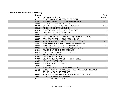#### **Criminal Misdemeanors (continued)**

| <b>Charge</b> |                                                   | <b>Total</b>   |
|---------------|---------------------------------------------------|----------------|
| Code          | <b>Offense Description</b>                        | <b>Arrests</b> |
| 31112         | POSSESSION OF A DEFACED FIREARM                   | 8              |
| 32457         | MISD-POSS UP TO 35 GRAMS MARIJUANA                | 4,082          |
| 32459         | POSS UP TO 35 GRMS SYN CNNBNOID                   | 239            |
| 32504         | UNLAWFUL USE DRUG PARAPHERNALIA                   | 4,506          |
| 32515         | POSS IMIT CONTROL DRUGS                           | 16             |
| 32614         | PURC/REC/ACQ > 9GM DRUGS-30 DAYS                  |                |
| 33022         | <b>GIVE FALS AGE WHEN UNDER 21</b>                |                |
| 33030         | <b>SUPPLY LIQ MIN/INTOX PER</b>                   | 59             |
| 33033         | FAIL-STOP PERS<21 DRK/POS LIQ-2ND/SUB OFFENSE     | $\overline{2}$ |
| 33037         | FAIL-STOP PERS<21 DRK/POSS LIQUOR                 | 3              |
| 33040         | MINR PUR/ATMP PUR/POSS LIQ-1ST OFFENSE            | 406            |
| 33041         | MINR POSS PUR/ATMP LIQ-2ND/SUB OFFENSE            | 6              |
| 33045         | MINR INTOX/BAC > .02%-1ST OFFENSE                 | 464            |
| 33046         | MINR INTOX/BAC > .02%-2ND/SUB OFFENSE             | $\overline{7}$ |
| 34011         | PEACE DIST-SEC-SUBS OFFENSE                       | $\overline{2}$ |
| 34013         | PEACE DISTURBANCE - 1ST OFFENSE                   | 28             |
| 34020         | <b>PRIVATE PEACE DIST</b>                         | $\mathbf{1}$   |
| 34030         | <b>REFUSAL TO DISPERSE</b>                        | 1              |
| 34039         | DISRUPT HOUSE WORSHIP-1ST OFFENSE                 |                |
| 34042         | UNLAWFUL ASSEMBLY                                 | 18             |
| 34080         | <b>BREACH PEACE BUS TERM</b>                      |                |
| 36060         | <b>LITTERING</b>                                  | 246            |
| 36116         | THROW FIRWRKS FROM/INTO MTR VEH                   | $\mathbf{1}$   |
| 36185         | SELL/PROV/DIST TOBACCO/ALT NICOTINE/VAPOR PRODUCT |                |
|               | TO <18-1ST OR 2ND OFFENSE                         | $\overline{2}$ |
| 36530         | ANIMAL NEGLECT OR ABANDONMENT-1ST OFFENSE         | $\mathbf{1}$   |
| 36540         | ANIMAL ABUSE-1ST OFFENSE                          | $\overline{4}$ |
| 37115         | EVAS TX MOTOR FUEL W DYE                          | 4              |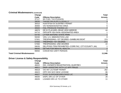#### **Criminal Misdemeanors (continued)**

| Charge                             |                                                     | <b>Total</b>   |
|------------------------------------|-----------------------------------------------------|----------------|
| Code                               | <b>Offense Description</b>                          | <b>Arrests</b> |
| 37117                              | <b>MV FUEL TAX EVASION</b>                          |                |
| 39030                              | <b>TAKING WILDLIFE ILLEGALLY</b>                    | 3              |
| 39310                              | HUNT/FISH W SUSP/REV PERMIT                         |                |
| 39400                              | <b>VIO NONDESIGNATED AREA</b>                       | 5              |
| 39500                              | <b>FAIL PRODUCE FISHING LIC</b>                     | $\overline{7}$ |
| 48878                              | DR W PLACARD-REAR VIEW MIRROR                       | 44             |
| 54710                              | OPR MTR VEH NON-DESIGNATED AREA                     |                |
| 54740                              | <b>LITTER WATERS-STATE PARK</b>                     |                |
| 55030                              | <b>VIOL U.S. IMMIGRATION LAW</b>                    | 9              |
| 57001                              | TRESPASSING-1ST DEGREE-GAMBLING BOAT                | 374            |
| 57042                              | TRESPASS-1ST DEGREE                                 | 272            |
| 57060                              | TRESPASSING-2ND DEGREE                              | 22             |
| 59035                              | DEL/POSS ITEM PROHIBITED-CORR FAC, CITY/COUNTY JAIL |                |
| 99045                              | <b>DETAIN FOR MENTAL HEALTH</b>                     | $\overline{2}$ |
| 99050                              | <b>CONVEYED UNFIT PERSON</b>                        | 8              |
| <b>Total Criminal Misdemeanors</b> |                                                     | 11,946         |

# **Driver License & Safety Responsibility**

| Charge |                                  | <b>Total</b>   |
|--------|----------------------------------|----------------|
| Code   | <b>Offense Description</b>       | <b>Arrests</b> |
| 46022  | DW-OWNER'S REGISTRATION-SUSP/REV |                |
| 46611  | DWR-ASSISTING WITH LIC APP FRAUD | 6              |
| 46618  | <b>VIO INT LIC/TEMP PERMIT</b>   | 262            |
| 46623  | OPR VEH W/O NEW LICENSE          | 86             |
| 46627  | POSS SUSPENDED/REVOKED LIC       | 58             |
| 46630  | DISPL DRI LIC OF OTHER           | 26             |
| 46635  | LOANED DRI LIC TO OTHER          | 11             |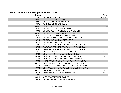#### **Driver License & Safety Responsibility (continued)**

| Charge |                                               | <b>Total</b>    |
|--------|-----------------------------------------------|-----------------|
| Code   | <b>Offense Description</b>                    | <b>Arrests</b>  |
| 46645  | LET CHILD UNDER 16 DRIVE                      | 17              |
| 46650  | LET UNAUTH PERSON DRIVE                       | 86              |
| 46671  | ALTERED OPR LIC/ID CARD                       | $\mathbf{3}$    |
| 46680  | UNDER 21 POSS ILLEGAL ID                      | 14              |
| 46700  | DR CMV W/O CDL IN POSSESSION                  | $5\phantom{.0}$ |
| 46703  | DR CMV W/O PROPER LIC/ENDORSEMENT             | 43              |
| 46705  | DR CMV W/O COMM MV DRIVER LICENSE             | 126             |
| 46707  | VIOL OPR LIC RESTRIC W OPR CMV                | 29              |
| 46712  | DR CMV WHILE LIC REV-2ND/3RD OFFENSE          | $5\overline{)}$ |
| 46714  | DR CMV-DR DISQUALIFIED-OP CMV                 | 69              |
| 46716  | DR CMV-CDL-REV/SUSP/CANC                      | 245             |
| 46730  | DWR/DWS FOR VIOL SECTION 302,304.17 RSMo.     | 3               |
| 46740  | DWR/DWS FOR VIOL SECTION 577.041.10 RSMo.     | $\overline{1}$  |
| 46750  | DWR/DWS FOR VIOL SECTION 577.041.11 RSMo.     | 2               |
| 46760  | OPER MV W/O VALID DL - 1ST OFFENSE            | 6,844           |
| 46762  | OPER MV W/O VALID DL - 2ND OFFENSE            | 596             |
| 46764  | OP MTRCYCL W/O VALID DL-1ST OFFENSE           | 401             |
| 46766  | OP MTRCYCL W/O VALID DL-2ND OFFENSE           | 12              |
| 46768  | <b>PRMT INVLD LCNSEE OPR CYCL-1ST OFFENSE</b> | $\mathbf{3}$    |
| 46770  | OP MV W/ANOTHER'S PRMT/DL-1ST OFFENSE         | $\,6\,$         |
| 46772  | PRMT INVLD LCNSE OP CYCL-2ND/SUB OFFENSE      | 1               |
| 46774  | OP MV W ANOTHER'S PMT/DL-2ND/SUB OFFENSE      | $\mathbf{1}$    |
| 46776  | DWR/DWS-1ST OFFENSE                           | 7,855           |
| 46778  | DWR/DWS-2ND OR SUB OFFENSE                    | 1,675           |
| 46780  | <b>DWR/DWS</b>                                | 624             |
| 46810  | <b>MISREP ACCIDENT INFO DOR</b>               | 2               |
| 46818  | DR WH DRIVER LICENSE SUSP/REV                 | 90              |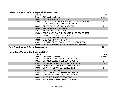#### **Driver License & Safety Responsibility (continued)**

| Charge                                                  |                                                                                           | <b>Total</b>   |
|---------------------------------------------------------|-------------------------------------------------------------------------------------------|----------------|
| Code                                                    | <b>Offense Description</b>                                                                | <b>Arrests</b> |
| 46830                                                   | <b>REF SURRENDER D/L TO DOR</b>                                                           | 3              |
| 46836                                                   | FAILURE OF OWNER/OPERATOR TO OPERATE MV WO<br><b>MAINTAINING FINANCIAL RESPONSIBILITY</b> | 27,550         |
| 46838                                                   | OP OTHRS MV W/ NO FINANCL RESP                                                            | 1,705          |
| 46863                                                   | <b>INV EVIDENC-LIABIL INSUR</b>                                                           | 124            |
| 46865                                                   | <b>INVALID INSURANCE CARD</b>                                                             | 4              |
| 47359                                                   | FAIL TO COMPLY WITH CONDITION OF RESTRICTED<br>DRIVERS LICENSE FOR VISION                 | 49             |
| 47366                                                   | <b>VIOL RESTRICTION ON LIC</b>                                                            | $\overline{2}$ |
| 47369                                                   | <b>VIOL RESTRICTION ON LIC</b>                                                            | 3              |
| 47533                                                   | UNLWFLY OPER LOW-SPD VEH W/O FINCL RESP                                                   | 2              |
| 49495                                                   | OP CMV-ISSUANCE TIL EXPIRES-1ST OFFENSE                                                   | 3              |
| <b>Total Driver License &amp; Safety Responsibility</b> |                                                                                           | 48,659         |

#### **Hazardous Vehicle Condition Violation**

| Charge |                                     | <b>Total</b>   |
|--------|-------------------------------------|----------------|
| Code   | <b>Offense Description</b>          | <b>Arrests</b> |
| 47350  | DR FAIL SECURE-BOOSTER/SEAT BELT    | 301            |
| 47355  | DR FAIL SECURE-RESTRAINT/BOOSTER    | 2,143          |
| 47367  | DRV/FRNT PASGR FAIL WEAR SEAT BELT  | 63,477         |
| 47368  | OPR/PSGR<18-TRUCK-NO SAFETY BELT    | 91             |
| 47370  | DRVR FAIL SEC CHLD <16 RESTRNT      | 1,114          |
| 47389  | <b>FAILED TO DIM LIGHTS</b>         | 210            |
| 47400  | UND 18 RIDE UNENCLOSED BED OF TRUCK | 14             |
| 48001  | STOP/PARK VEHICLE IN PROHIB AREA    | 6              |
| 48002  | <b>ILLEGAL PARKING OR STOPPING</b>  | 293            |
| 48006  | ILLEG PARK/STOP-THREAT ACCIDENT     | 82             |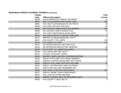#### **Hazardous Vehicle Condition Violation (continued)**

| Charge<br>Code | <b>Offense Description</b>                | <b>Total</b><br><b>Arrests</b> |
|----------------|-------------------------------------------|--------------------------------|
| 48008          | ILLEG PARK/STOP-RESULT ACCIDENT           | 14                             |
| 48087          | <b>FAIL TO COVER/SECURE VEHIC LOAD</b>    | 265                            |
| 48091          | FAIL MUD FLAPS/ADEQUATE ON TRUCK          | 48                             |
| 48093          | <b>FAIL DISP LMP MTR VEH REQ</b>          | 50                             |
| 48094          | NO LIGHTED LAMPS WHEN USE WIPERS          | 284                            |
| 48099          | NO LIGHTED LAMPS DURING FOG               | 34                             |
| 48107          | <b>FAIL EQP CAR/TRK/BUS HEADLAMPS</b>     | 9                              |
| 48112          | <b>FAIL EQUIP MOTCYC APRVD HEADLAMP</b>   | $\overline{3}$                 |
| 48137          | <b>IMPROP LW BEAM AIM/INTEN-100 FT</b>    | $\mathbf 1$                    |
| 48147          | <b>FAIL EQUIP 2 TAILLAMPS</b>             | 196                            |
| 48152          | <b>FAIL EQUIP LIC LAMP</b>                | 145                            |
| 48157          | NO APPRVD REFLEC MOTORCYCLE               | $5\phantom{.0}$                |
| 48162          | NO APPROVED REFLECTOR-REAR MV             | 46                             |
| 48163          | OP W INOP LIC LAMPS/TAILLAMPS             | 39                             |
| 48164          | <b>FAIL HEADLAMP SEE 200 FT</b>           | 3                              |
| 48172          | <b>ILLEGAL AUXILIARY LAMPS</b>            | $\mathbf 1$                    |
| 48182          | <b>BACKUP LAMP LIGHTED-FORWARD MOTION</b> | $\overline{1}$                 |
| 48192          | AIM MV SPOTLAMP IN GLARING MANNER         | $\mathbf 1$                    |
| 48197          | DISPLAY LIGHTED HEADLAMP-NOT WHITE        | 12                             |
| 48202          | DISPLAY AUX LAMP-NOT WHT/YEL/AMB          | 21                             |
| 48207          | DISPLY LIGHTED RED LAMP ON FRONT          | 9                              |
| 48217          | USE FLASH SIG-NOT BUS/EMER VEH            | 1                              |
| 48222          | <b>FAIL HAVE 2 LIGHTED HEADLAMPS</b>      | 222                            |
| 48227          | <b>DISPLAY MORE THAN 4 HEADLAMPS</b>      |                                |
| 48237          | <b>FAIL LAMP ON FARM MACHINE</b>          |                                |
| 48242          | ANIMAL-DRIVEN VEH-NO REQUIRED LIGHT       | $\mathbf{1}$                   |
| 48250          | <b>FAIL EQUIP FT SEAT BELTS</b>           | 5                              |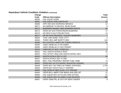# **Hazardous Vehicle Condition Violation (continued)**

| Charge |                                           | <b>Total</b>    |
|--------|-------------------------------------------|-----------------|
| Code   | <b>Offense Description</b>                | <b>Arrests</b>  |
| 48256  | <b>FAIL EQUIP HORN</b>                    | 2               |
| 48261  | <b>FAIL EQUIP ADEQ MUFFLER</b>            | 19              |
| 48266  | OPR VEH W/O WORKING BRAKES                | 12 <sub>2</sub> |
| 48271  | NO MIRROR TO REVEAL REAR ROAD             | 9               |
| 48272  | <b>BUMPERS RAISED-MAX BUMPER HGHTS</b>    | 26              |
| 48273  | OPER MV W/O FRONT/REAR BUMPERS            | 17              |
| 48276  | NO RED FLG/LP PROJECTION                  | 12              |
| 48277  | OP MV W/O PROPERLY EQUIPD BUMPERS         | $\overline{7}$  |
| 48283  | TOW LINE MORE THAN 15 FT                  | 2               |
| 48284  | <b>TOWD VEH-IMP SAFETY DEV</b>            | 143             |
| 48289  | NO LIGHTED LAMPS ON TOWED VEHICLE         | 31              |
| 48295  | USED SIR/BLUE LP NO EMER                  | 4               |
| 48300  | USED SIR/BLUE LP W/O PERMIT               | $\overline{2}$  |
| 48310  | <b>USED BICYC W/O LT/REFLEC</b>           | $\overline{2}$  |
| 48422  | <b>VIOL IGNITN INTERLK REST</b>           | 22              |
| 48423  | FAIL NOTIFY REQ USE IGNITN INTRLK DEV     | $\mathbf{1}$    |
| 48424  | <b>IGNITN INTRLK DEV VI 1ST</b>           | 56              |
| 48427  | <b>IGNITN INTRLK DEV VI 2ND</b>           | -1              |
| 48438  | MCV-FAIL PROPERLY MOUNT FUEL TANK         | 72              |
| 48442  | OPER MCV W 5TH WHEEL MOUNTED UNSAFE       | $\overline{2}$  |
| 48448  | OPER MCV ON TIRES W FABRIC EXPOSED        | 1,704           |
| 48453  | OPER MCV WITH FAULTY WIPERS               |                 |
| 48459  | <b>FAIL DISPLAY RED FLAG-4 FT PROJEC</b>  | $6\phantom{1}6$ |
| 48464  | OPER MCV-IMPR TOW BAR/5 WHL/SDL MT        | 12              |
| 48465  | FAIL EQUIP MCV W FILLED FIRE EXTING       | 51              |
| 48466  | <b>FAIL EQUIP MCV W ADEQ LOAD DEVICES</b> | 490             |
| 48467  | OPER CMW/TRL W OUT-OF-SERV ORDER          | 9               |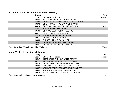#### **Hazardous Vehicle Condition Violation (continued)**

| Charge                                             |                                     | <b>Total</b>   |
|----------------------------------------------------|-------------------------------------|----------------|
| Code                                               | <b>Offense Description</b>          | <b>Arrests</b> |
| 48468                                              | MISC FEDERAL MOTOR CARRIER CODE     | 396            |
| 48469                                              | OPER CMV W DRIVER OUT-OF-SERV ORDER | 16             |
| 48473                                              | OPER MCV WITH DEFECTIVE EXHAUST     | 8              |
| 48474                                              | OPER MV-VISION REDUCING MATERIAL    | 4,982          |
| 48481                                              | NO/IMP EMERG EQUIP-PCCV             | $\overline{7}$ |
| 48500                                              | OP MV W ELECTRONIC MESSAGE          |                |
| 48811                                              | UNNEC NOISE HORN/WHISTLE            | $\overline{2}$ |
| 48814                                              | <b>FAIL MOVE VEH OBSTR TRAFFIC</b>  | 9              |
| 48816                                              | OPR MC-EXCESSIVE NOISE              | 35             |
| 48880                                              | <b>PARKED IN HANDICAP SPACE</b>     |                |
| 49432                                              | OPER MET TIRE VEH IMPROVED HWY      |                |
| 49471                                              | OP CMV W EQUIP NOT MVI REGS         | 33             |
| <b>Total Hazardous Vehicle Condition Violation</b> |                                     | 77,355         |

#### **Motor Vehicle Inspection Violations**

| Charge                                           |                                            | <b>Total</b>    |
|--------------------------------------------------|--------------------------------------------|-----------------|
| Code                                             | <b>Offense Description</b>                 | <b>Arrests</b>  |
| 46217                                            | <b>INSPECTING WITHOUT VALID PERMIT</b>     | 2               |
| 46218                                            | INSPECTING AT UNAPPROVED LOCATION          |                 |
| 46219                                            | <b>CHARGING EXCESSIVE INSPECTION FEE</b>   |                 |
| 48408                                            | MOTOR VEHICLE INSPECTION VIOLATION         | 10 <sup>1</sup> |
| 48847                                            | <b>VEH INSPECTION PERMIT TO WRONG PERS</b> | 13              |
| 48849                                            | PERFORM IMPROPER VEH INSPECTION            | 31              |
| 48857                                            | <b>ISSUE VEH INSPEC STICKER-NO PERMIT</b>  | 1.              |
| <b>Total Motor Vehicle Inspection Violations</b> |                                            | 59              |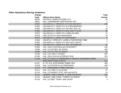#### **Other Hazardous Moving Violations**

| <b>Charge</b> |                                                   | <b>Total</b>   |
|---------------|---------------------------------------------------|----------------|
| Code          | <b>Offense Description</b>                        | <b>Arrests</b> |
| 46092         | OPERATE UNREGISTERED ATV                          | 25             |
| 46501         | FAIL-OWNERSHIP CERTIFICATE-ATV                    | $\overline{2}$ |
| 47060         | UNLAWFULLY OPERATE ATV ON HIGHWAY                 | 109            |
| 47062         | UNLAWFULLY OPER ATV IN STREAM/RIVER               | 2              |
| 47064         | UNLAWFULLY OPER ATV ON HWY W/O LIC                | 10             |
| 47068         | UNLAWFULLY OPER ATV W/O SAFTY FLAG                | 55             |
| 47070         | UNLAWFULLY OPER ATV CARELSS MNR                   | 11             |
| 47076         | UND 18 OP ATV W/O HEADGEAR                        | 16             |
| 47078         | UNLAWFULLY OPER ATV W/PSNGER                      | $9\,$          |
| 47080         | UNLWFLLY OPER ATV-AGRICL PUR/WRONG TIME           | 1              |
| 47083         | UNLAWFULLY OPER ATV HWY W/O LIGHTS                | $\overline{7}$ |
| 47085         | UNLAWFULLY OPER ATV W/O TRI EMBLEM                | 32             |
| 47093         | FAIL YIELD CONTROLLED INTERSECT                   | 143            |
| 47096         | <b>FAIL YLD INTSEC NO SIGNS</b>                   | 180            |
| 47099         | FAIL YLD TO VEH ON RIGHT                          | 12             |
| 47102         | <b>FAIL YLD TRN LT INTSEC</b>                     | 297            |
| 47105         | <b>FAIL YIELD VEH IN INTERSECTION</b>             | 223            |
| 47106         | FAIL TO YIELD TO EMERGENCY VEHICLE SOUNDING SIREN |                |
|               | <b>AND DISPLAYING LIGHTS</b>                      | 213            |
| 47107         | FL TO YLD-STATIONARY EMER VEH                     | 483            |
| 47108         | FAIL YLD ENTER ALLEY/DRIVEWAY                     | 196            |
| 47110         | FTY-ORGANIZED FUNRL PROCES                        | $\mathbf{1}$   |
| 47111         | FAIL YLD TRN LT ALLEY/DR                          | 27             |
| 47114         | FAIL YLD MODOT STAT VEH W/LIGHTS                  | 24             |
| 47141         | UNSAFE LANE CHANGE-3 LANE ROADWAY                 | 233            |
| 47142         | UNSAFE LANE CHNG-THREAT ACCIDENT                  | 97             |
| 47143         | FAIL TO OBEY TEMP LANE SIGNS                      | 3              |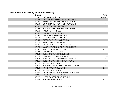#### **Other Hazardous Moving Violations (continued)**

|      | <b>Charge</b> |                                     | <b>Total</b>   |
|------|---------------|-------------------------------------|----------------|
| Code |               | <b>Offense Description</b>          | <b>Arrests</b> |
|      | 47144         | LANE-TEMP SIGN-THREAT ACCIDENT      |                |
|      | 47147         | TEMP SIGN-LANES-RSLT ACCIDENT       |                |
|      | 47150         | UNSF LN CHG-3 LN-RSLT ACCIDENT      | 190            |
|      | 47152         | <b>RR CROSS-INSUFF SPACE</b>        | $\mathbf{1}$   |
|      | 47155         | FAIL TO OBEY TRAF SIG-RR CROSS      | 1              |
|      | 47156         | <b>FAIL STOP RR TRACK</b>           | 11             |
|      | 47157         | <b>FAIL OBEY TRAF DEVICE</b>        | 191            |
|      | 47160         | <b>DISOBEY STEADY RED SIG</b>       | 518            |
|      | 47163         | RT TRN ON RED PROHIBITED            | 3              |
|      | 47166         | <b>DISOBEY FLASHING RED SIG</b>     | 10             |
|      | 47172         | <b>RED SIGNAL OVER LANE</b>         | 6              |
|      | 47175         | <b>DISOBEY INTSEC TURN SIGNAL</b>   | 18             |
|      | 47178         | MADE U TURN CONTROLLED INTSEC       | 22             |
|      | 47181         | <b>FAIL STOP AT STOP SIGN</b>       | 1,488          |
|      | 47184         | <b>FAIL OBEY YIELD SIGN</b>         | 41             |
|      | 47212         | <b>TURN CRSOVR/INT RSLT ACC</b>     | 18             |
|      | 47213         | STOP OR TURN WHEN UNSAFE            | 234            |
|      | 47214         | TURN NOT AT CROSSOVER/INTERSEC      | 94             |
|      | 47215         | <b>TURN CRSOVR/INT-THREAT ACCID</b> | $6\phantom{1}$ |
|      | 47216         | <b>IMPROPER RT TURN</b>             | 13             |
|      | 47217         | NOT DR SINGLE LANE-THREAT ACCIDENT  | 93             |
|      | 47218         | <b>NOT DRIVE SINGLE LANE</b>        | 1,202          |
|      | 47219         | <b>IMPROPER LT TURN</b>             | 27             |
|      | 47220         | DRIVE WRONG WAY-THREAT ACCIDENT     | 38             |
|      | 47221         | DRIVE WRONG DIRECTION               | 72             |
|      | 47222         | U TRN CAUSED TRAF HAZARD            | 19             |
|      | 47223         | <b>WRONG SIDE OF ROAD</b>           | 1,737          |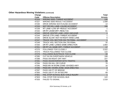#### **Other Hazardous Moving Violations (continued)**

|       | Charge |                                           | <b>Total</b>   |
|-------|--------|-------------------------------------------|----------------|
| Code  |        | <b>Offense Description</b>                | <b>Arrests</b> |
| 47224 |        | <b>WRONG SIDE-THREAT ACCIDENT</b>         | 135            |
| 47227 |        | <b>WRONG SIDE RESULT ACCIDENT</b>         | 1,508          |
| 47230 |        | DRIVE WRONG WAY/CAUSE ACCIDENT            | 14             |
| 47233 |        | NOT DR SGL LANE-CAUSE ACCIDENT            | 195            |
| 47239 |        | RT LANE-LOW SP-RESULT ACCIDENT            |                |
| 47242 |        | DR RT LN/SM DRT-RESLT AC                  | 61             |
| 47243 |        | DROVE CENTER LANE-VIEW UNCLEAR            | $\overline{1}$ |
| 47244 |        | DROVE CTR LANE-THREAT ACCIDENT            | 1              |
| 47245 |        | DRIVE SLOW-NOT IN RIGHT HAND LANE         | 6              |
| 47247 |        | TRUCK VIOL SECTION 304.705 RSMo.-ACCIDENT | $\overline{1}$ |
| 47249 |        | TRUCK VIOL SECTION 304.705 RSMo.          | 32             |
| 47250 |        | DR RT LANE-LANES SAME DIRECTION           | 1,664          |
| 47251 |        | DR RT LN-SAME DRT-THREAT ACCIDENT         | 17             |
| 47270 |        | <b>FOLLOWED TOO CLOSELY</b>               | 2,522          |
| 47273 |        | TRUCK FOLLOWED TOO CLOSE                  | 122            |
| 47276 |        | <b>FOLLOWED BUS/TRUCK TOO CLOSE</b>       | 33             |
| 47285 |        | <b>CUT IN ON OVERTAKEN VEHICLE</b>        | 199            |
| 47288 |        | PASS ON RIGHT OFF HWY                     | 227            |
| 47291 |        | PASS VEH/INTERFER WITH TRAFFIC            | 85             |
| 47294 |        | <b>PASS ON HILL OR CURVE</b>              | 70             |
| 47295 |        | PASS MV IN WORK ZONE-DIVIDED HWY          | 16             |
| 47296 |        | PASS MV-WORK ZONE-SIGN ERECTED            | $\sqrt{2}$     |
| 47297 |        | PASS 100 FT OF BRIDGE                     | 3              |
| 47300 |        | PASS 100 FT OF INTSEC/RR                  | 69             |
| 47301 |        | FAIL STOP SCHOOL BUS-CHILD INJURY         |                |
| 47303 |        | <b>FAIL STOP FOR SCHOOL BUS</b>           | 122            |
| 47333 |        | <b>FAILED TO SIGNAL</b>                   | 1,518          |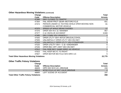#### **Other Hazardous Moving Violations (continued)**

|                                                | Charge |                                               | <b>Total</b>    |
|------------------------------------------------|--------|-----------------------------------------------|-----------------|
| Code                                           |        | <b>Offense Description</b>                    | <b>Arrests</b>  |
|                                                | 47360  | HWY CLOSED TO TRAFFIC                         | 6               |
|                                                | 47364  | <b>FAIL WEAR PROT GEAR-MOTORCYCLE</b>         | 651             |
|                                                | 47374  | PERSON UNDER 21 TEXTING WHILE OPER MOVING NON | 81              |
|                                                |        | <b>COMMERCIAL MOTOR VEHICLE</b>               |                 |
|                                                | 47375  | SPEED UP WHILE BEING PASSED                   | 17              |
|                                                | 47376  | <b>OPER VEH IN C &amp; I MANNER</b>           | 957             |
|                                                | 47377  | <b>C &amp; I INVOLVE ACCIDENT</b>             | 3,940           |
|                                                | 47485  | DRV COMM VEH UNSAFELY                         |                 |
|                                                | 47500  | OPER UTLTY VEH-INTOX DRUG/ALCOHOL             | $\overline{2}$  |
|                                                | 47505  | UNLAWFULLY OPER UTLTY VEH ON HWY              | 5               |
|                                                | 47510  | UNLAWFULLY OPER UTLTY VEH STRM/RIVER          | $\mathbf{3}$    |
|                                                | 47520  | OPER UTILITY VEH - C & I-ENDANGER             | $6\phantom{1}6$ |
|                                                | 47535  | OPER REC OFF-HWY VEH ON HWY                   | $\mathbf 2$     |
|                                                | 47812  | FAIL RIDE BICY SAME DIREC AS VEHICLE          | $\overline{1}$  |
|                                                | 47815  | <b>FAIL KEEP BICYC TO RIGHT</b>               | $\overline{2}$  |
|                                                | 47827  | OPER MOTOR BICYCLE W/O DRIV LIC               | 5               |
| <b>Total Other Hazardous Moving Violations</b> |        |                                               | 22,770          |
| <b>Other Traffic Felony Violations</b>         |        |                                               |                 |
|                                                | Charge |                                               | Total           |
| Code                                           |        | <b>Offense Description</b>                    | <b>Arrests</b>  |
|                                                | 46609  | OPR VEH W/O LIC-3RD/SUB                       | 159             |

| <b>Total Other Traffic Felony Violations</b> |                                | 358 |
|----------------------------------------------|--------------------------------|-----|
| 48865                                        | LEFT SCENE OF ACCIDENT         | 197 |
| 46613                                        | MTRCYCLE LIC NOT VALID 3RD/SUB |     |
| 46609                                        | OPR VEH W/O LIC—3RD/SUB        | 159 |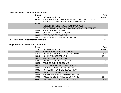#### **Other Traffic Misdemeanor Violations**

| Charge                                            |                                                  | <b>Total</b>   |
|---------------------------------------------------|--------------------------------------------------|----------------|
| Code                                              | <b>Offense Description</b>                       | <b>Arrests</b> |
| 36186                                             | PERSON <18 PURCH/ATTEMPT/POSSESS CIGARETTES OR   |                |
|                                                   | TOBACCO/ALT NICOTNE/VAPOR 2ND OFFENSE            |                |
| 36187                                             |                                                  | 45             |
|                                                   | PERSON <18 PURCHASE/ATTEMPT/POSSESS              |                |
|                                                   | CIGARETTE/TOBACCO/ALT NICOTINE/VAPOR 1ST OFFENSE |                |
| 48045                                             | <b>FAIL CLEAR RD OF OBJECTS</b>                  |                |
| 48075                                             | <b>OBST/CHG LOC PUBLIC ROAD</b>                  |                |
| 48866                                             | LEFT SCENE OF ACCIDENT                           | 548            |
| 48870                                             | ABANDONED A MTR VEH OR TRAILER                   | 18             |
| <b>Total Other Traffic Misdemeanor Violations</b> |                                                  | 614            |

# **Registration & Ownership Violations**

| Charge |                                           | <b>Total</b>     |
|--------|-------------------------------------------|------------------|
| Code   | <b>Offense Description</b>                | <b>Arrests</b>   |
| 46007  | NO APPLICATION JUNK/SALV CERT             |                  |
| 46010  | OP INTER-STATE MTR FUEL USR W/O LIC       | 1,103            |
| 46019  | NO VEH/TRL REGISTRATION                   | 18,508           |
| 46020  | <b>FAIL TO SURRENDER TITLE</b>            | $\mathbf{3}$     |
| 46021  | <b>OUT-OF-STATE REGISTRATION</b>          | 107              |
| 46024  | <b>FAIL REG SUFFIC GROSS WT</b>           | 231              |
| 46029  | <b>VIOL DRIVEAWAY LIC PLATE RESTRCT</b>   |                  |
| 46030  | FAIL REG FOR BEYOND LOCAL OP              | 38               |
| 46031  | NO REGISTR PLATE DISPLAYED-CMV            | 18               |
| 46033  | <b>FAIL REG CMV AS DESIGNED</b>           | $\boldsymbol{8}$ |
| 46034  | TAB NOT PROPERLY AFFIXED/DISPLAYED        | 156              |
| 46038  | <b>FAILED TO DISPLAY PLATES ON MV/TRL</b> | 11,640           |
| 46041  | FAIL TO AFFIX MOT VEH/ TRLR PLATES        | 1,541            |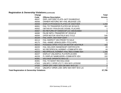# **Registration & Ownership Violations (continued)**

| Charge                                               |                                           | <b>Total</b>   |
|------------------------------------------------------|-------------------------------------------|----------------|
| Code                                                 | <b>Offense Description</b>                | <b>Arrests</b> |
| 46047                                                | DSPL HISTORIC PLATE-NOT EXHIB/EDUC        |                |
| 46056                                                | <b>OWNER HISTORIC MV-FAIL MILEAGE LOG</b> |                |
| 46059                                                | DISPLAY/POSSESS PLATES OF ANOTHER         | 1,242          |
| 46061                                                | FAIL TO TRANSFER PLATES W/I 30 DAYS       | 461            |
| 46062                                                | OBTAIN BY FRAUD/USE DISABL PLACARD        |                |
| 46067                                                | NO RETURN OF HANDICAP LIC-DECEASED        |                |
| 46080                                                | <b>FALSE INFO-TRANSFER OF VEHICLE</b>     | $\overline{2}$ |
| 46094                                                | OPER MOTOR VEH/TRLR W/O TITLE             | 546            |
| 46109                                                | <b>FAIL DISPL VEH INSP CERT</b>           | 137            |
| 46114                                                | FAIL INSPECT VEH PRIOR TO SALE            | 20             |
| 46175                                                | <b>FAIL-NAME LIENHOLDER-TITLE APPL</b>    |                |
| 46215                                                | POSSESS OPEN TITLE ON MOTOR VEH/TRLR      | 162            |
| 46220                                                | <b>FAIL DELIVER OWNERSHIP CERTIFICATE</b> | 29             |
| 46221                                                | NO RECIPROCAL AGRMNT-COMM MTR VEH         | 44             |
| 46223                                                | RECIPROCAL AGRMNT-FAIL REG COMM VEH       | 1,346          |
| 46227                                                | DISPLAY UNLAWFUL PLATE/PLACARD            | 330            |
| 46228                                                | FL DISPLAY NAME/ADDR-COMM MTR VEH         | 102            |
| 46381                                                | SALVAGE OPERATE W/O LIC                   |                |
| 46391                                                | <b>FAIL TO MAINT REC/SALVAGE</b>          |                |
| 47503                                                | UNLWFLY OPER UTLTY VEH W/O LICENSE        | $\overline{2}$ |
| 47530                                                | OPER OFF-HWY VEH ON HWY W/O LIC           | $\overline{c}$ |
| 47534                                                | UNLWFLY OPER LOW-SPD VEH HWY W/O LIC      | $\overline{2}$ |
| <b>Total Registration &amp; Ownership Violations</b> |                                           | 37,795         |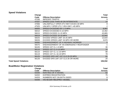#### **Speed Violations**

|                               | Charge |                                         | <b>Total</b>   |
|-------------------------------|--------|-----------------------------------------|----------------|
|                               | Code   | <b>Offense Description</b>              | <b>Arrests</b> |
|                               | 47036  | <b>IMPEDED TRAFFIC</b>                  | 9              |
|                               | 47037  | SPEED LESS THAN 40 ON INTERSTATE        | 14             |
|                               | 47066  | UNLAWFULLY OPER ATV HWY EXCES 30 MPH    | 9              |
|                               | 47525  | UNLWFLY OPER UTLY VEH HWY >45 MPH       | $\overline{2}$ |
|                               | 56005  | SPEED EXCEEDED BY 1-5 MPH               | 8,997          |
|                               | 56010  | SPEED EXCEEDED 6-10 MPH                 | 13,462         |
|                               | 56015  | SPEED EXCEED 11-15 MPH                  | 43,865         |
|                               | 56019  | SPEED EXCEED 16-19 MPH                  | 22,942         |
|                               | 56025  | EXCEED SPEED LIMIT 20-25 MPH            | 13,644         |
|                               | 56026  | EXCEED SPEED LIMIT 26 MPH OR MORE       | 3,670          |
|                               | 56060  | <b>ENDANGERMENT OF A HIGHWAY WORKER</b> | 5              |
|                               | 56075  | ENDANGERMENT OF AN EMERGENCY RESPONDER  | 1              |
|                               | 56105  | SPEED 1ST CL 1-5 MPH                    | 30             |
|                               | 56110  | SPEED 1ST CL 6-10 MPH                   | 15             |
|                               | 56115  | SPEED 1ST CL 11-15 MPH                  | 88             |
|                               | 56119  | SPEED 1ST CL 16-19 MPH                  | 78             |
|                               | 56125  | EXCEED SPD LMT 1ST CLS 20-25 MPH        | 81             |
|                               | 56126  | EXCEED SPD LMT 1ST CLS 26 OR MORE       | 20             |
| <b>Total Speed Violations</b> |        |                                         | 106,932        |

# **Boat/Motor Registration Violations**

| Charge |                             | <b>Total</b>   |
|--------|-----------------------------|----------------|
| Code   | <b>Offense Description</b>  | <b>Arrests</b> |
| 54200  | NON REG OF A VESSEL         | 62             |
| 54202  | <b>EXPIRED REGISTRATION</b> | 75             |
| 54203  | NUMBERS NOT ON BOTH SIDES   | 8              |
| 54206  | VIO 60-DAY RECIPRO-VESSEL   | 2              |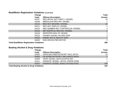#### **Boat/Motor Registration Violations (continued)**

| Charge                                          |                                    | <b>Total</b>   |
|-------------------------------------------------|------------------------------------|----------------|
| Code                                            | <b>Offense Description</b>         | <b>Arrests</b> |
| 54207                                           | <b>REG DECAL NOT DISPLY-VESSEL</b> | 10             |
| 54208                                           | MISS/ILLEGI REG NO-VESSEL          |                |
| 54210                                           | <b>REG NOT ABOARD-VESSEL</b>       | 32             |
| 54211                                           | <b>REG NOT DISPLAY VESSEL</b>      |                |
| 54215                                           | REG NUMBER NOT CONTRA/CLR-VESSEL   | 4              |
| 54216                                           | <b>IMP SIZE/PLAC REG NO-VESSEL</b> | $\overline{2}$ |
| 54218                                           | <b>IMPROPER REG OF VESSEL</b>      |                |
| 54222                                           | OWNER VESSEL NO REG DOR            |                |
| 54223                                           | <b>OWNR VES FL REG/TIT DOR</b>     | $\overline{7}$ |
| 54453                                           | NON-REG/OUTBD MOTOR                | 2              |
| <b>Total Boat/Motor Registration Violations</b> |                                    | 208            |

# **Boating Alcohol & Drug Violations**

| Charge                                             |                                  | <b>Total</b>    |
|----------------------------------------------------|----------------------------------|-----------------|
| Code                                               | <b>Offense Description</b>       | <b>Arrests</b>  |
| 54303                                              | OPER MOTORBT/WTRCRFT WHL INTOX   | 10 <sup>°</sup> |
| 54304                                              | OP MTRBT/WTRCRFT INFLUENCE DRUG  | 2               |
| 54309                                              | OPER VESSEL W/EXCESSIVE BAC      |                 |
| 54311                                              | OPERATE VESSEL-INTOX-PRIOR OFDR  |                 |
| 54312                                              | OPERATE VESSEL WHILE INTOXICATED | 109             |
| <b>Total Boating Alcohol &amp; Drug Violations</b> |                                  | 123             |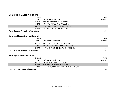#### **Boating Floatation Violations**

| Charge                                     |                                | <b>Total</b>   |
|--------------------------------------------|--------------------------------|----------------|
| Code                                       | <b>Offense Description</b>     | <b>Arrests</b> |
| 54273                                      | <b>INSUFF NO OF PFD-VESSEL</b> | 78             |
| 54274                                      | NON SERVBLE PFD-VESSEL         |                |
| 54276                                      | PFD NOT READILY ACCESSIBLE     | 36             |
| 54289                                      | UNDERAGE ON W/C W/O/PFD        | 38             |
| <b>Total Boating Floatation Violations</b> |                                | 153            |

#### **Boating Navigation Violations**

| Charge                                     |                               | <b>Total</b>   |
|--------------------------------------------|-------------------------------|----------------|
| Code                                       | <b>Offense Description</b>    | <b>Arrests</b> |
| 54270                                      | NAV LIGHT BURNT OUT-VESSEL    |                |
| 54271                                      | N/PRESCRIBED NAV LGT-VESSEL   | 10             |
| 54272                                      | NAV LIGHTS NOT DISPLYD-VESSEL | 89             |
| <b>Total Boating Navigation Violations</b> |                               | 102            |

# **Boating Speed Violations**

| Charge                                |                                   | <b>Total</b>   |
|---------------------------------------|-----------------------------------|----------------|
| Code                                  | <b>Offense Description</b>        | <b>Arrests</b> |
| 54226                                 | OPR MTRBT OVER 30 MPH             | -9             |
| 54348                                 | <b>EXCESS OF NO WAKE SPEED</b>    | 36             |
| 54349                                 | VIOL SLW/NO WAKE SPD-EMERG VESSEL |                |
| <b>Total Boating Speed Violations</b> |                                   | 46             |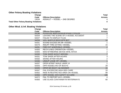# **Other Felony Boating Violations**

| Charge                                       |                               | Total          |
|----------------------------------------------|-------------------------------|----------------|
| Code                                         | <b>Offense Description</b>    | <b>Arrests</b> |
| 13034                                        | ASSAULT — VESSEL — 2ND DEGREE |                |
| <b>Total Other Felony Boating Violations</b> |                               | $\mathbf 4$    |

#### **Other Misd. & Inf. Boating Violations**

| Charge |                                        | <b>Total</b>    |
|--------|----------------------------------------|-----------------|
| Code   | <b>Offense Description</b>             | <b>Arrests</b>  |
| 54196  | POSS/USE BEER BONG/EXPAND COOLER       | $\overline{4}$  |
| 54204  | LEAVING THE SCENE OF A VESSEL ACCIDENT |                 |
| 54227  | <b>FAILED TO DISPLAY FLAG</b>          | $\overline{7}$  |
| 54259  | <b>VIOL MUFFLR REGS MTR BOT</b>        | 10              |
| 54261  | SOUND EXCEED 86 DB-VESSEL              |                 |
| 54279  | <b>INSUFF FIRE EXTING-VESSEL</b>       | 15              |
| 54281  | FIRE EXT N/SERVBLE-VESSEL              | $\overline{2}$  |
| 54300  | <b>RECK &amp; NEG OPERATION-VESSEL</b> | $\mathbf 1$     |
| 54305  | MAN WTRBORNE DEVICE WHIL INTOX         | $\overline{2}$  |
| 54330  | TOW SKIER W/OUT MIR/OBJ                | $\overline{7}$  |
| 54331  | <b>TOW SKIER AFTER HOURS</b>           | $\mathfrak{S}$  |
| 54332  | <b>SKIING AFTER HOURS</b>              | $\overline{2}$  |
| 54336  | <b>UNSUP U/AGE OP-VESSEL</b>           | $\mathbf{1}$    |
| 54337  | <b>OPER MTRBT WHILE UNDR 14</b>        | 1               |
| 54343  | OPR VESSEL/VIO OF BOUYS                | 29              |
| 54345  | <b>OPER MO BOAT C&amp;I MANNER</b>     | 15              |
| 54347  | <b>FAIL EXCERCISE HIGH DEG CARE</b>    | 10 <sup>°</sup> |
| 54352  | RIDE IN RESTRICTED AREA ON VESSEL      | 99              |
| 54356  | OPR VESSEL W/O SAFETY ID CARD          | 108             |
| 54372  | <b>FAIL TO REPORT ACC-VESSEL</b>       | 4               |
| 54383  | USE GLASS CONTAINER IN WATERWAYS       | 60              |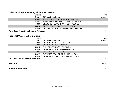#### **Other Misd. & Inf. Boating Violations (continued)**

| Charge                                                 |                                           | <b>Total</b>   |
|--------------------------------------------------------|-------------------------------------------|----------------|
| Code                                                   | <b>Offense Description</b>                | <b>Arrests</b> |
| 54385                                                  | <b>IMPROPER CONTAINER-TRASH-VESSEL</b>    | $\overline{4}$ |
| 54387                                                  | <b>IMPROPER DISPOSAL-WASTE MATERIALS</b>  | $\mathbf{3}$   |
| 54389                                                  | <b>GLASS NOT SECURED SAFELY-VESSEL</b>    | 39             |
| 54424                                                  | OPER VESSEL-SCUBA DIVER AREA              | $\mathbf{1}$   |
| 54485                                                  | <b>OBSTRUCT TRAF ON WATER-1ST OFFENSE</b> | 2              |
| <b>Total Other Misd. &amp; Inf. Boating Violations</b> | 431                                       |                |

#### **Personal Watercraft Violations**

|                                             | Charge |                                     | <b>Total</b>    |
|---------------------------------------------|--------|-------------------------------------|-----------------|
|                                             | Code   | <b>Offense Description</b>          | <b>Arrests</b>  |
|                                             | 54322  | OP PERS WTRCFT-RECKLESS             | 17              |
|                                             | 54323  | OP PERS WTRCFT EXC SPEED            | 44              |
|                                             | 54324  | PULL PERSON W/O OBSERVER            | 17              |
|                                             | 54325  | OP PERS WTRCFT NO FLO DEVICE        | 17              |
|                                             | 54326  | CUTOFF SWITCH NOT ATTACHED          | $\overline{2}$  |
|                                             | 54327  | AUTH USE-VIOL SECTION 306.142 RSMo. | $6\phantom{1}6$ |
|                                             | 54329  | OP PERS WTCFT NO SUPERVISION/UN 14  |                 |
| <b>Total Personal Watercraft Violations</b> |        | 104                                 |                 |
| <b>Warrants</b>                             |        |                                     | 18,168          |
| <b>Juvenile Referrals</b>                   |        |                                     | 167             |